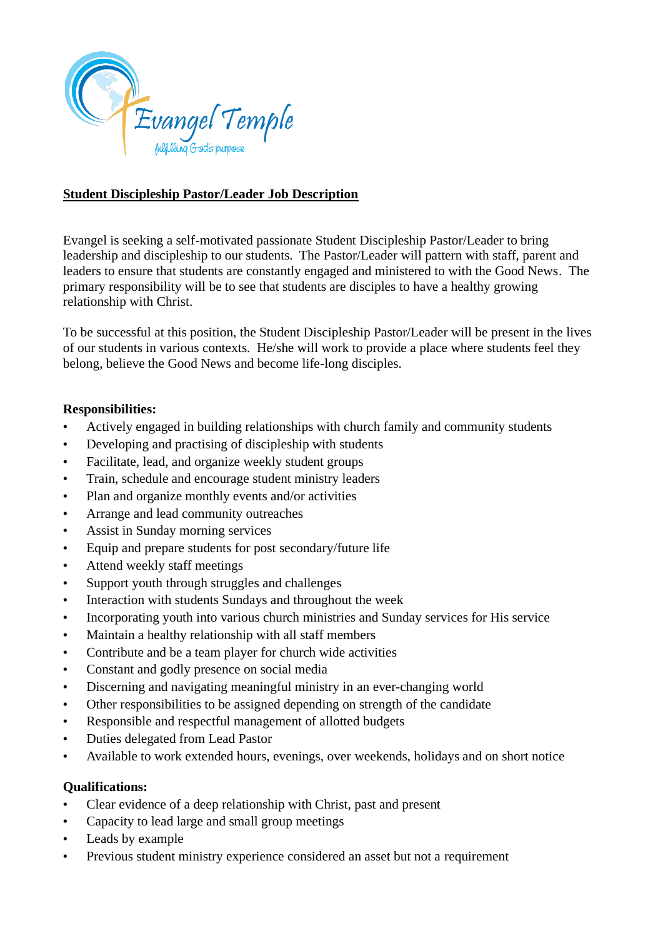

## **Student Discipleship Pastor/Leader Job Description**

Evangel is seeking a self-motivated passionate Student Discipleship Pastor/Leader to bring leadership and discipleship to our students. The Pastor/Leader will pattern with staff, parent and leaders to ensure that students are constantly engaged and ministered to with the Good News. The primary responsibility will be to see that students are disciples to have a healthy growing relationship with Christ.

To be successful at this position, the Student Discipleship Pastor/Leader will be present in the lives of our students in various contexts. He/she will work to provide a place where students feel they belong, believe the Good News and become life-long disciples.

## **Responsibilities:**

- Actively engaged in building relationships with church family and community students
- Developing and practising of discipleship with students
- Facilitate, lead, and organize weekly student groups
- Train, schedule and encourage student ministry leaders
- Plan and organize monthly events and/or activities
- Arrange and lead community outreaches
- Assist in Sunday morning services
- Equip and prepare students for post secondary/future life
- Attend weekly staff meetings
- Support youth through struggles and challenges
- Interaction with students Sundays and throughout the week
- Incorporating youth into various church ministries and Sunday services for His service
- Maintain a healthy relationship with all staff members
- Contribute and be a team player for church wide activities
- Constant and godly presence on social media
- Discerning and navigating meaningful ministry in an ever-changing world
- Other responsibilities to be assigned depending on strength of the candidate
- Responsible and respectful management of allotted budgets
- Duties delegated from Lead Pastor
- Available to work extended hours, evenings, over weekends, holidays and on short notice

## **Qualifications:**

- Clear evidence of a deep relationship with Christ, past and present
- Capacity to lead large and small group meetings
- Leads by example
- Previous student ministry experience considered an asset but not a requirement